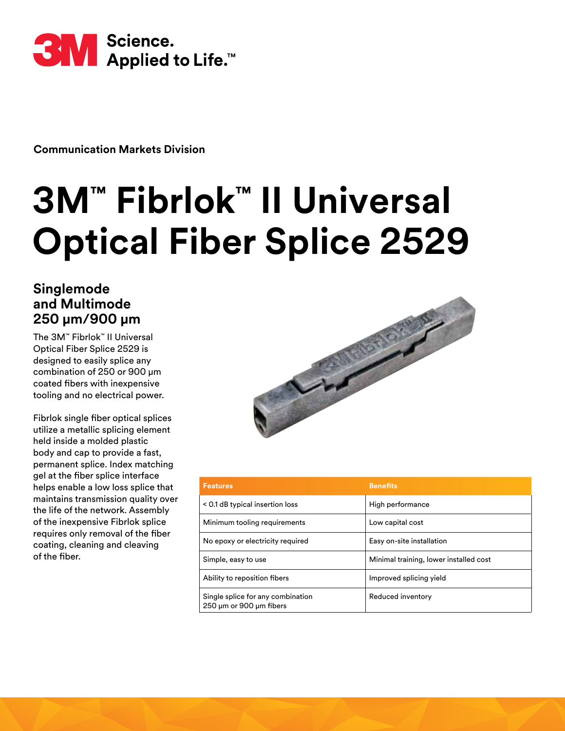

**Communication Markets Division** 

# **3M™ Fibrlok™ II Universal Optical Fiber Splice 2529**

# **Singlemode and Multimode 250 µm/900 µm**

The 3M™ Fibrlok™ II Universal Optical Fiber Splice 2529 is designed to easily splice any combination of 250 or 900 µm coated fibers with inexpensive tooling and no electrical power.

Fibrlok single fiber optical splices utilize a metallic splicing element held inside a molded plastic body and cap to provide a fast, permanent splice. Index matching gel at the fiber splice interface helps enable a low loss splice that maintains transmission quality over the life of the network. Assembly of the inexpensive Fibrlok splice requires only removal of the fiber coating, cleaning and cleaving of the fiber.



| <b>Features</b>                                              | <b>Benefits</b>                        |  |
|--------------------------------------------------------------|----------------------------------------|--|
| < 0.1 dB typical insertion loss                              | High performance                       |  |
| Minimum tooling requirements                                 | Low capital cost                       |  |
| No epoxy or electricity required                             | Easy on-site installation              |  |
| Simple, easy to use                                          | Minimal training, lower installed cost |  |
| Ability to reposition fibers                                 | Improved splicing yield                |  |
| Single splice for any combination<br>250 µm or 900 µm fibers | Reduced inventory                      |  |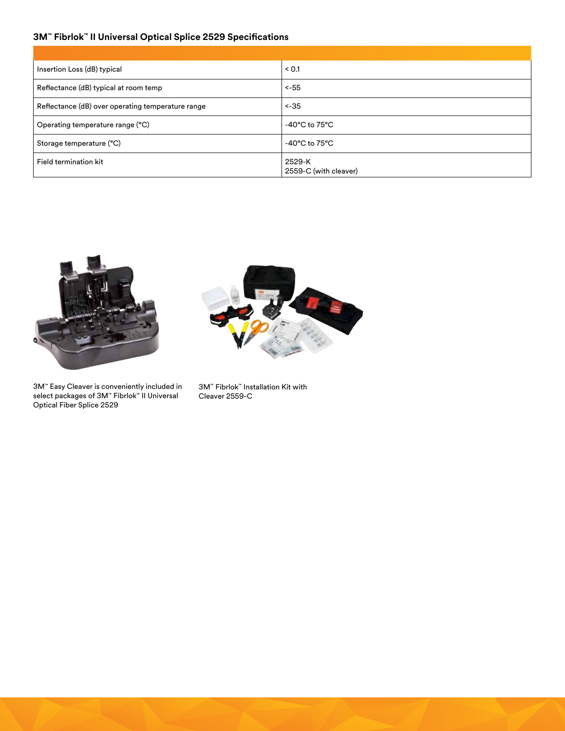## **3M™ Fibrlok™ II Universal Optical Splice 2529 Specifications**

| Insertion Loss (dB) typical                       | < 0.1                               |
|---------------------------------------------------|-------------------------------------|
| Reflectance (dB) typical at room temp             | $< -55$                             |
| Reflectance (dB) over operating temperature range | $< -35$                             |
| Operating temperature range (°C)                  | -40 $^{\circ}$ C to 75 $^{\circ}$ C |
| Storage temperature (°C)                          | $-40^{\circ}$ C to $75^{\circ}$ C   |
| Field termination kit                             | 2529-K<br>2559-C (with cleaver)     |



3M™ Easy Cleaver is conveniently included in select packages of 3M™ Fibrlok™ II Universal Optical Fiber Splice 2529



3M™ Fibrlok™ Installation Kit with Cleaver 2559-C